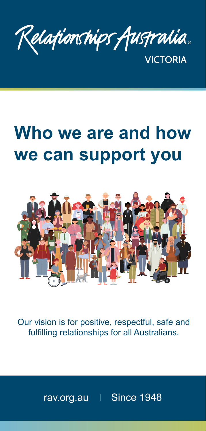Relationships Australia. **VICTORIA** 

# **Who we are and how we can support you**



Our vision is for positive, respectful, safe and fulfilling relationships for all Australians.

[rav.org.au](https://www.relationshipsvictoria.org.au/) | Since 1948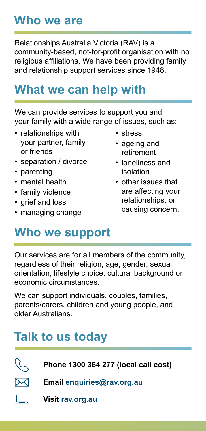### **Who we are**

Relationships Australia Victoria (RAV) is a community-based, not-for-profit organisation with no religious affiliations. We have been providing family and relationship support services since 1948.

### **What we can help with**

We can provide services to support you and your family with a wide range of issues, such as:

- relationships with your partner, family or friends
- separation / divorce
- parenting
- mental health
- family violence
- grief and loss
- managing change
- stress
- ageing and retirement
- loneliness and isolation
- other issues that are affecting your relationships, or causing concern.

### **Who we support**

Our services are for all members of the community, regardless of their religion, age, gender, sexual orientation, lifestyle choice, cultural background or economic circumstances.

We can support individuals, couples, families, parents/carers, children and young people, and older Australians.

## **Talk to us today**

 $\boxtimes$ 

**Phone [1300 364 277](Tel:1300364277) (local call cost)** 

**Email [enquiries@rav.org.au](mailto:enquiries%40rav.org.au%20?subject=)** 

**Visit [rav.org.au](https://www.relationshipsvictoria.org.au/)**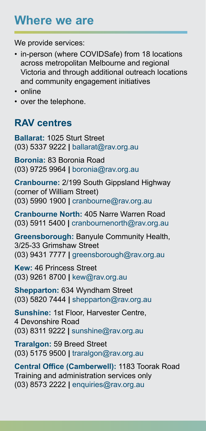### **Where we are**

We provide services:

- in-person (where COVIDSafe) from 18 locations across metropolitan Melbourne and regional Victoria and through additional outreach locations and community engagement initiatives
- online
- over the telephone.

### **RAV centres**

**Ballarat:** 1025 Sturt Street [\(03\) 5337 9222](Tel:0353379222) **|** [ballarat@rav.org.au](mailto:ballarat%40rav.org.au?subject=)

**Boronia:** 83 Boronia Road [\(03\) 9725 9964](Tel:0397259964) **|** [boronia@rav.org.au](mailto:boronia%40rav.org.au?subject=)

**Cranbourne:** 2/199 South Gippsland Highway (corner of William Street) [\(03\) 5990 1900](Tel:0359901900) **|** [cranbourne@rav.org.au](mailto:cranbourne%40rav.org.au?subject=)

**Cranbourne North:** 405 Narre Warren Road [\(03\) 5911 5400](Tel:0359115400) **|** [cranbournenorth@rav.org.au](mailto:cranbournenorth%40rav.org.au?subject=)

**Greensborough:** Banyule Community Health, 3/25-33 Grimshaw Street [\(03\) 9431 7777](Tel:0394317777) **|** [greensborough@rav.org.au](mailto:greensborough%40rav.org.au?subject=)

**Kew:** 46 Princess Street [\(03\) 9261 8700](Tel:0392618700) **|** [kew@rav.org.au](mailto:kew%40rav.org.au?subject=)

**Shepparton:** 634 Wyndham Street [\(03\) 5820 7444](Tel:0358207444) **|** [shepparton@rav.org.au](mailto:shepparton%40rav.org.au?subject=)

**Sunshine:** 1st Floor, Harvester Centre, 4 Devonshire Road [\(03\) 8311 9222](Tel:0383119222) **|** [sunshine@rav.org.au](mailto:sunshine%40rav.org.au?subject=)

**Traralgon:** 59 Breed Street [\(03\) 5175 9500](Tel:0351759500) **|** [traralgon@rav.org.au](mailto:traralgon%40rav.org.au?subject=)

**Central Office (Camberwell):** 1183 Toorak Road Training and administration services only [\(03\) 8573 2222](Tel:0385732222) **|** [enquiries@rav.org.au](mailto:enquiries%40rav.org.au?subject=)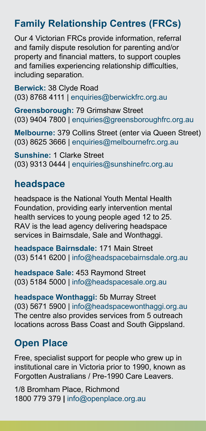### **Family Relationship Centres (FRCs)**

Our 4 Victorian FRCs provide information, referral and family dispute resolution for parenting and/or property and financial matters, to support couples and families experiencing relationship difficulties, including separation.

**Berwick:** 38 Clyde Road [\(03\) 8768 4111](Tel:0387684111) | [enquiries@berwickfrc.org.au](mailto:enquiries%40berwickfrc.org.au?subject=)

**Greensborough:** 79 Grimshaw Street [\(03\) 9404 7800](Tel:0394047800) | [enquiries@greensboroughfrc.org.au](mailto:enquiries%40greensboroughfrc.org.au?subject=)

**Melbourne:** 379 Collins Street (enter via Queen Street) [\(03\) 8625 3666](Tel:0386253666) | [enquiries@melbournefrc.org.au](mailto:enquiries%40melbournefrc.org.au?subject=)

**Sunshine:** 1 Clarke Street [\(03\) 9313 0444](Tel:0393130444) | [enquiries@sunshinefrc.org.au](mailto:enquiries%40sunshinefrc.org.au?subject=)

#### **headspace**

headspace is the National Youth Mental Health Foundation, providing early intervention mental health services to young people aged 12 to 25. RAV is the lead agency delivering headspace services in Bairnsdale, Sale and Wonthaggi.

**headspace Bairnsdale:** 171 Main Street [\(03\) 5141 6200](Tel:0351416200) | [info@headspacebairnsdale.org.au](mailto:info%40headspacebairnsdale.org.au?subject=)

**headspace Sale:** 453 Raymond Street [\(03\) 5184 5000](Tel:0351845000) | [info@headspacesale.org.au](mailto:info%40headspacesale.org.au?subject=)

**headspace Wonthaggi:** 5b Murray Street [\(03\) 5671 5900](Tel:0356715900) | [info@headspacewonthaggi.org.au](mailto:info%40headspacewonthaggi.org.au?subject=) The centre also provides services from 5 outreach locations across Bass Coast and South Gippsland.

### **Open Place**

Free, specialist support for people who grew up in institutional care in Victoria prior to 1990, known as Forgotten Australians / Pre-1990 Care Leavers.

1/8 Bromham Place, Richmond [1800 779 379](Tel:1800779379) **|** [info@openplace.org.au](mailto:info%40openplace.org.au?subject=)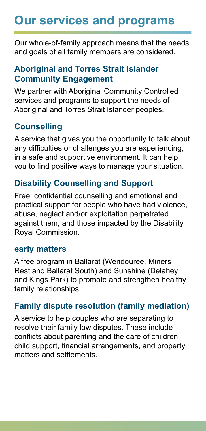# **Our services and programs**

Our whole-of-family approach means that the needs and goals of all family members are considered.

#### **Aboriginal and Torres Strait Islander Community Engagement**

We partner with Aboriginal Community Controlled services and programs to support the needs of Aboriginal and Torres Strait Islander peoples.

#### **Counselling**

A service that gives you the opportunity to talk about any difficulties or challenges you are experiencing, in a safe and supportive environment. It can help you to find positive ways to manage your situation.

#### **Disability Counselling and Support**

Free, confidential counselling and emotional and practical support for people who have had violence, abuse, neglect and/or exploitation perpetrated against them, and those impacted by the Disability Royal Commission.

#### **early matters**

A free program in Ballarat (Wendouree, Miners Rest and Ballarat South) and Sunshine (Delahey and Kings Park) to promote and strengthen healthy family relationships.

#### **Family dispute resolution (family mediation)**

A service to help couples who are separating to resolve their family law disputes. These include conflicts about parenting and the care of children, child support, financial arrangements, and property matters and settlements.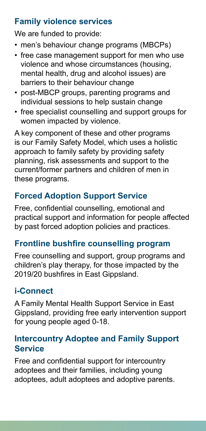#### **Family violence services**

We are funded to provide:

- men's behaviour change programs (MBCPs)
- free case management support for men who use violence and whose circumstances (housing, mental health, drug and alcohol issues) are barriers to their behaviour change
- post-MBCP groups, parenting programs and individual sessions to help sustain change
- free specialist counselling and support groups for women impacted by violence.

A key component of these and other programs is our Family Safety Model, which uses a holistic approach to family safety by providing safety planning, risk assessments and support to the current/former partners and children of men in these programs.

#### **Forced Adoption Support Service**

Free, confidential counselling, emotional and practical support and information for people affected by past forced adoption policies and practices.

#### **Frontline bushfire counselling program**

Free counselling and support, group programs and children's play therapy, for those impacted by the 2019/20 bushfires in East Gippsland.

#### **i-Connect**

A Family Mental Health Support Service in East Gippsland, providing free early intervention support for young people aged 0-18.

#### **Intercountry Adoptee and Family Support Service**

Free and confidential support for intercountry adoptees and their families, including young adoptees, adult adoptees and adoptive parents.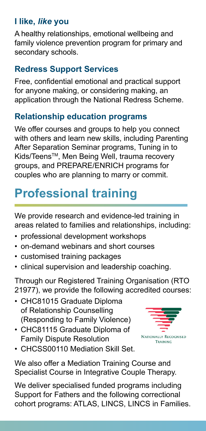#### **I like,** *like* **you**

A healthy relationships, emotional wellbeing and family violence prevention program for primary and secondary schools.

#### **Redress Support Services**

Free, confidential emotional and practical support for anyone making, or considering making, an application through the National Redress Scheme.

#### **Relationship education programs**

We offer courses and groups to help you connect with others and learn new skills, including Parenting After Separation Seminar programs, Tuning in to Kids/TeensTM, Men Being Well, trauma recovery groups, and PREPARE/ENRICH programs for couples who are planning to marry or commit.

# **Professional training**

We provide research and evidence-led training in areas related to families and relationships, including:

- professional development workshops
- on-demand webinars and short courses
- customised training packages
- clinical supervision and leadership coaching.

Through our Registered Training Organisation (RTO 21977), we provide the following accredited courses:

- CHC81015 Graduate Diploma of Relationship Counselling (Responding to Family Violence)
- CHC81115 Graduate Diploma of Family Dispute Resolution



• CHCSS00110 Mediation Skill Set.

We also offer a Mediation Training Course and Specialist Course in Integrative Couple Therapy.

We deliver specialised funded programs including Support for Fathers and the following correctional cohort programs: ATLAS, LINCS, LINCS in Families.